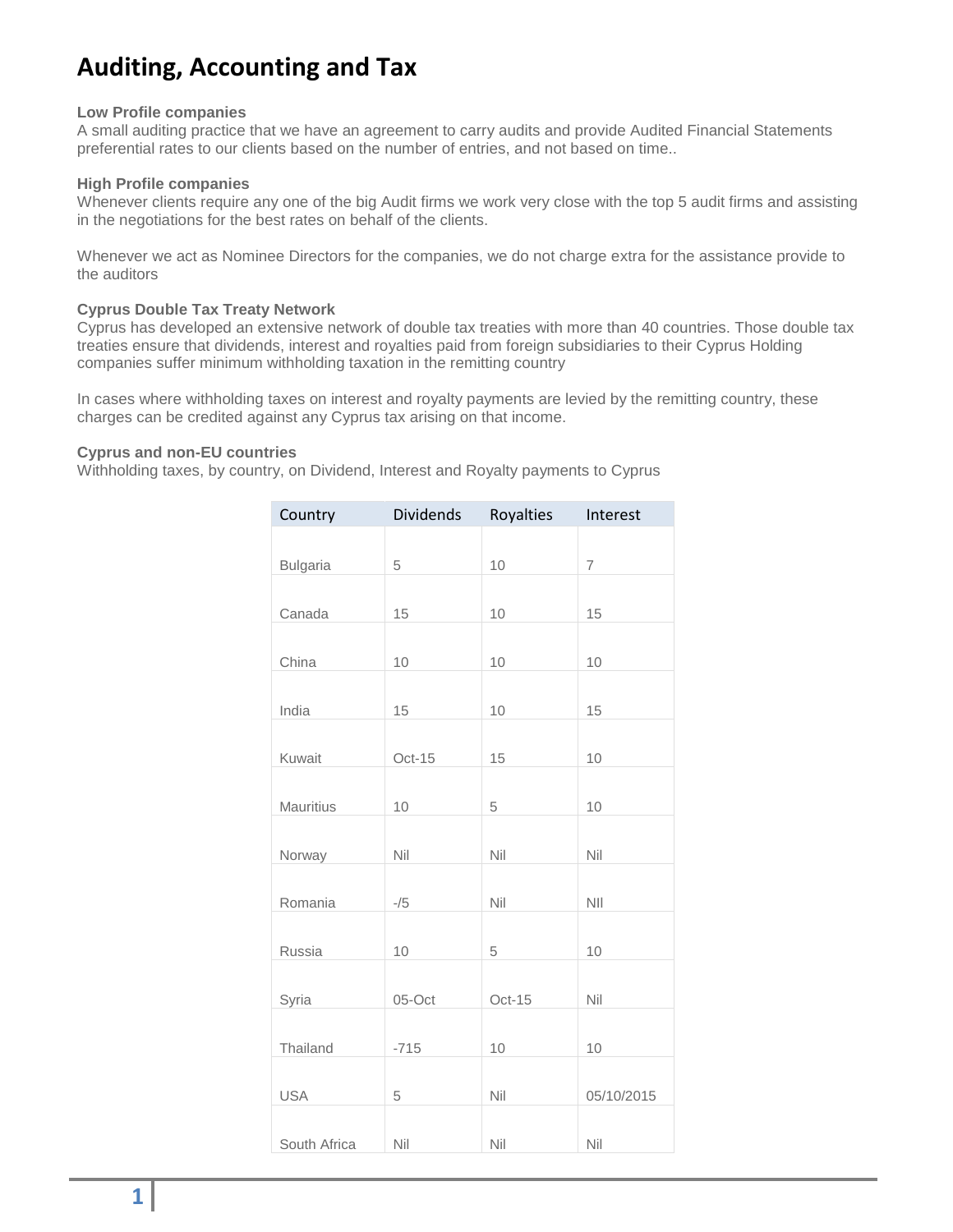# **Auditing, Accounting and Tax**

#### **Low Profile companies**

A small auditing practice that we have an agreement to carry audits and provide Audited Financial Statements preferential rates to our clients based on the number of entries, and not based on time..

# **High Profile companies**

Whenever clients require any one of the big Audit firms we work very close with the top 5 audit firms and assisting in the negotiations for the best rates on behalf of the clients.

Whenever we act as Nominee Directors for the companies, we do not charge extra for the assistance provide to the auditors

# **Cyprus Double Tax Treaty Network**

Cyprus has developed an extensive network of double tax treaties with more than 40 countries. Those double tax treaties ensure that dividends, interest and royalties paid from foreign subsidiaries to their Cyprus Holding companies suffer minimum withholding taxation in the remitting country

In cases where withholding taxes on interest and royalty payments are levied by the remitting country, these charges can be credited against any Cyprus tax arising on that income.

# **Cyprus and non-EU countries**

Withholding taxes, by country, on Dividend, Interest and Royalty payments to Cyprus

| Country         | Dividends | Royalties | Interest       |
|-----------------|-----------|-----------|----------------|
|                 |           |           |                |
| <b>Bulgaria</b> | 5         | 10        | $\overline{7}$ |
|                 |           |           |                |
| Canada          | 15        | 10        | 15             |
|                 |           |           |                |
| China           | 10        | 10        | 10             |
|                 |           |           |                |
| India           | 15        | 10        | 15             |
|                 |           |           |                |
| Kuwait          | $Oct-15$  | 15        | 10             |
|                 |           |           |                |
| Mauritius       | 10        | 5         | 10             |
|                 |           |           |                |
| Norway          | Nil       | Nil       | Nil            |
|                 |           | Nil       | <b>NII</b>     |
| Romania         | $-/5$     |           |                |
| Russia          | 10        | 5         | 10             |
|                 |           |           |                |
| Syria           | 05-Oct    | Oct-15    | Nil            |
|                 |           |           |                |
| Thailand        | $-715$    | 10        | 10             |
|                 |           |           |                |
| <b>USA</b>      | 5         | Nil       | 05/10/2015     |
|                 |           |           |                |
| South Africa    | Nil       | Nil       | Nil            |